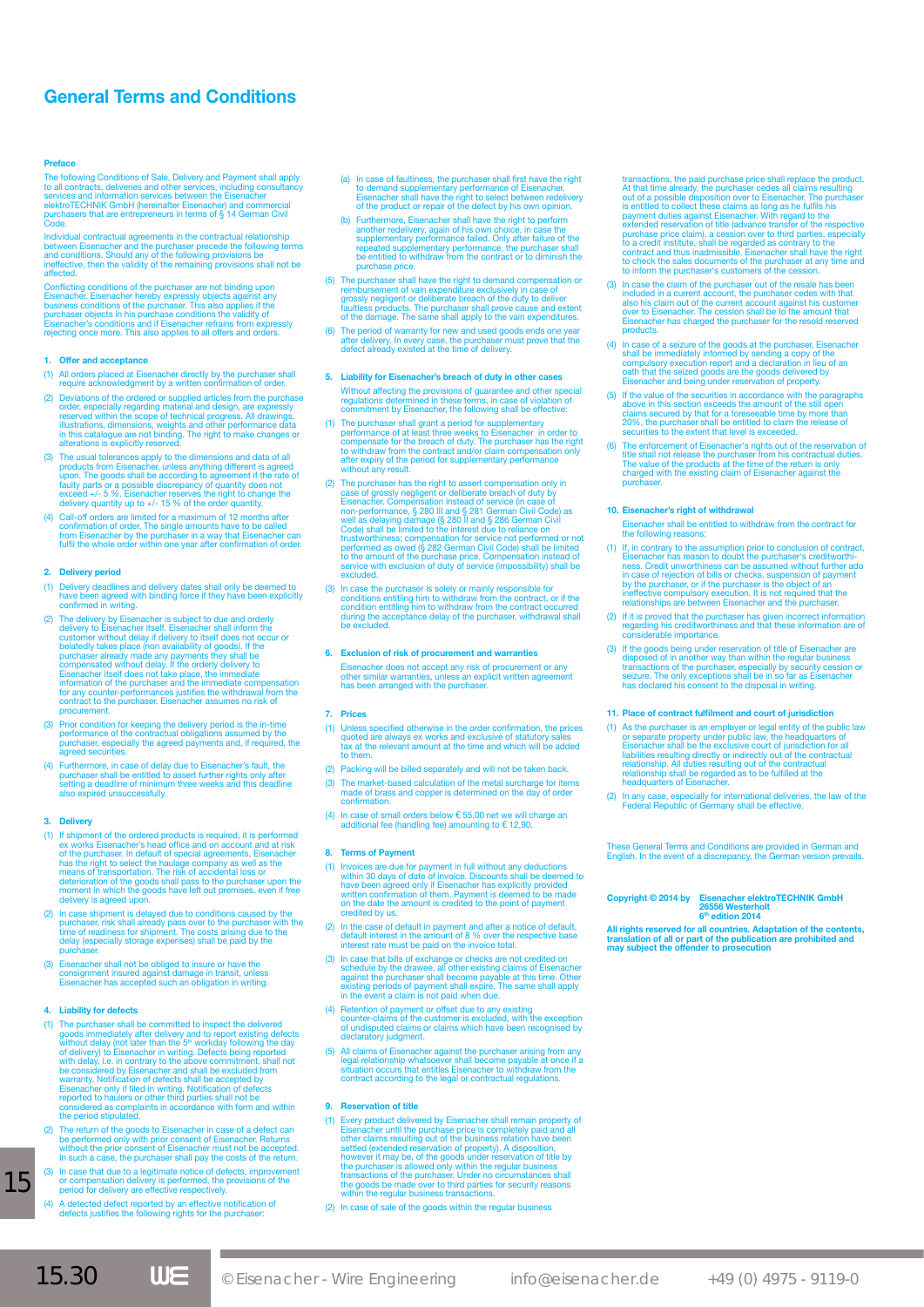# **General Terms and Conditions**

# **Preface**

The following Conditions of Sale, Delivery and Payment shall apply<br>to all contracts, deliveries and other services, including consultancy<br>services and information services between the Eisenacher<br>elektroTECHNIK GmbH (herein Code.

Individual contractual agreements in the contractual relationship<br>between Eisenacher and the purchaser precede the following terms<br>and conditions. Should any of the following provisions be<br>ineffective, then the validity of affected.

Conflicting conditions of the purchaser are not binding upon<br>Eisenacher. Eisenacher hereby expressly objects against any<br>business conditions of the purchaser. This also applies if the<br>purchaser objects in his purchase cond

# **1.** Offer and acceptance

- (1) All orders placed at Eisenacher directly by the purchaser shall require acknowledgment by a written confirmation of order.
- (2) Deviations of the ordered or supplied articles from the purchase<br>order, especially regarding material and design, are expressly<br>reserved within the scope of technical progress. All drawings,<br>illustrations, dimensions,
- (3) The usual tolerances apply to the dimensions and data of all<br>products from Eisenacher, unless anything different is agreed<br>upon. The goods shall be according to agreement if the rate of<br>faulty parts or a possible discr
- (4) Call-off orders are limited for a maximum of 12 months after<br>confirmation of order. The single amounts have to be called<br>from Eisenacher by the purchaser in a way that Eisenacher can<br>fulfil the whole order within one y

#### **2. Delivery period**

- (1) Delivery deadlines and delivery dates shall only be deemed to have been agreed with binding force if they have been explicitly confirmed in writing.
- (2) The delivery by Eisenacher is subject to due and orderly<br>delivery to Eisenacher itself. Eisenacher shall inform the<br>customer without delay if delivery to itself does not occur or<br>belatedly takes place (non availability
- (3) Prior condition for keeping the delivery period is the in-time performance of the contractual obligations assumed by the purchaser, especially the agreed payments and, if required, the agreed securities.
- (4) Furthermore, in case of delay due to Eisenacher's fault, the purchaser shall be entitled to assert further rights only after setting a deadline of minimum three weeks and this deadline also expired unsuccessfully.

# **3. Delivery**

- (1) If shipment of the ordered products is required, it is performed product is reached product in excepts of the purchaser. In default of special agreements, Eisenacher has the right to select the haulage company as well delivery is agreed upon.
- (2) In case shipment is delayed due to conditions caused by the purchaser, risk shall already pass over to the purchaser with the time of readiness for shipment. The costs arising due to the delay (especially storage expen purchaser.
- (3) Eisenacher shall not be obliged to insure or have the consignment insured against damage in transit, unless Eisenacher has accepted such an obligation in writing.

#### **4. Liability for defects**

- (1) The purchaser shall be committed to inspect the delivered<br>goods immediately after delivery and to report existing defects<br>without delay (not later than the  $5^n$  workday following the day<br>of delivery) to Eisenacher in
- (2) The return of the goods to Eisenacher in case of a defect can<br>be performed only with prior consent of Eisenacher. Returns<br>without the prior consent of Eisenacher must not be accepted.<br>In such a case, the purchaser shal
- (3) In case that due to a legitimate notice of defects, improvement or compensation delivery is performed, the provisions of the period for delivery are effective respectively.
- (4) A detected defect reported by an effective notification of defects justifies the following rights for the purchaser:
- (a) In case of faultiness, the purchaser shall first have the right to demand supplementary performance of Eisenacher. Eisenacher shall have the right to select between redelivery of the product or repair of the defect by his own opinion.
- (b) Furthermore, Eisenacher shall have the right to perform<br>another redelivery, again of his own choice, in case the<br>supplementary performance failed. Only after failure of the<br>repeated supplementary performance, the purch repeated supple<br>be entitled to w<br>purchase price.
- (5) The purchaser shall have the right to demand compensation or<br>reimbursement of vain expenditure exclusively in case of<br>grossly negligent or deliberate breach of the duty to deliver<br>faultless products. The purchaser shal
- (6) The period of warranty for new and used goods ends one year<br>after delivery. In every case, the purchaser must prove that the<br>defect already existed at the time of delivery.

# **5. Liability for Eisenacher's breach of duty in other cases** Without affecting the provisions of guarantee and other special regulations determined in these terms, in case of violation of commitment by Eisenacher, the following shall be effective:

- (1) The purchaser shall grant a period for supplementary<br>performance of at least three weeks to Eisenacher in order to<br>compensate for the breach of duty. The purchaser has the right<br>to withdraw from the contract and/or cla
- (2) The purchaser has the right to assert compensation only in<br>case of grossly negligent or deliberate breach of duty by<br>Eisenacher. Compensation instead of service (in case of<br>non-performance, § 280 III and § 286 German C
- (3) In case the purchaser is solely or mainly responsible for<br>conditions entitiing him to withdraw from the contract, or if the<br>condition entitiing him to withdraw from the contract occurred<br>during the acceptance delay of

## **6. Exclusion of risk of procurement and warranties**

Eisenacher does not accept any risk of procurement or any other similar warranties, unless an explicit written agreement has been arranged with the purchaser.

#### **7. Prices**

- (1) Unless specified otherwise in the order confirmation, the prices quoted are always ex works and exclusive of statutory sales tax at the relevant amount at the time and which will be added to the
- (2) Packing will be billed separately and will not be taken back.
- (3) The market-based calculation of the metal surcharge for items made of brass and copper is determined on the day of order confirmation.
- (4) In case of small orders below € 55,00 net we will charge an additional fee (handling fee) amounting to € 12,90.

#### **8. Terms of Payment**

- (1) Invoices are due for payment in full without any deductions<br>within 30 days of date of invoice. Discounts shall be deemed to<br>have been agreed only if Eisenacher has explicitly provided<br>written confirmation of them. Paym credited by us.
- (2) In the case of default in payment and after a notice of default, default interest in the amount of 8 % over the respective base interest rate must be paid on the invoice total.
- (3) In case that bills of exchange or checks are not credited on<br>schedule by the drawee, all other existing claims of Eisenacher<br>against the purchaser shall become payable at this time. Other<br>existing periods of payment sh
- (4) Retention of payment or offset due to any existing counter-claims of the customer is excluded, with the exception of undisputed claims or claims which have been recognised by declaratory judgment.
- (5) All claims of Eisenacher against the purchaser arising from any legal relationship whatsoever shall become payable at once if a situation occurs that entities Eisenacher to withdraw from the contract according to the l

#### **9. Reservation of title**

and the control of the control of the control of

(1) Every product delivered by Eisenacher shall remain property of Eisenacher until the purchase price is completely paid and all other claims resulting out of the business relation have been settled (extended reservation

(2) In case of sale of the goods within the regular business

actions, the paid purchase price shall replace the product. At that time already, the purchaser cedes all claims resulting<br>out of a possible disposition over to Eisenacher. The purchas out of a possible disposition over to Eisenacher. The purchaser<br>is entitled to collect these claims as long as he fulfils his<br>payment duties against Eisenacher. With regard to the<br>extended reservation of title (advance tra

- $(3)$  In case the claim of the purchaser out of the resale has be included in a current account, the purchaser cedes with that<br>also his claim out of the current account against his customer<br>over to Eisenacher. The cession shall be to the amount that<br>Eisenacher has charged the purchaser f products.
- (4) In case of a seizure of the goods at the purchaser, Eisenacher<br>shall be immediately informed by sending a copy of the<br>compulsory execution report and a declaration in lieu of an<br>oath that the seized goods are the goods
- (5) If the value of the securities in accordance with the paragraphs<br>above in this section exceeds the amount of the still open<br>claims secured by that for a foreseeable time by more than<br>20%, the purchaser shall be entitle
- (6) The enforcement of Eisenacher's rights out of the reservation of<br>title shall not release the purchaser from his contractual duties.<br>The value of the products at the time of the return is only<br>charged with the existing

# **10. Eisenacher's right of withdrawal**

- Eisenacher shall be entitled to withdraw from the contract for the following reasons:
- (1) If, in contrary to the assumption prior to conclusion of contract, Eisenacher has reason to doubt the puchaser's creditworthi-<br>ness. Credit unworthiness can be assumed without further ado<br>in case of rejection of bills
- (2) If it is proved that the purchaser has given incorrect information regarding his creditworthiness and that these information are of considerable importance.
- (3) If the goods being under reservation of title of Eisenacher are<br>disposed of in another way than within the regular business<br>transactions of the purchaser, especially by security cession or<br>seizure. The only exceptions

# **11. Place of contract fulfilment and court of jurisdiction**

- (1) As the purchaser is an employer or legal entity of the public law<br>or separate properly under public law, the headquarters of<br>Eisenacher shall be the exclusive court of jurisdiction for all<br>liabilities resulting direct
- (2) In any case, especially for international deliveries, the law of the Federal Republic of Germany shall be effective.

These General Terms and Conditions are provided in German and English. In the event of a discrepancy, the German version prevails.

# **Copyright © 2014 by Eisenacher elektroTECHNIK GmbH 26556 Westerholt 6th edition 2014**

**All rights reserved for all countries. Adaptation of the contents, translation of all or part of the publication are prohibited and may subject the offender to prosecution**

15

and the state of the